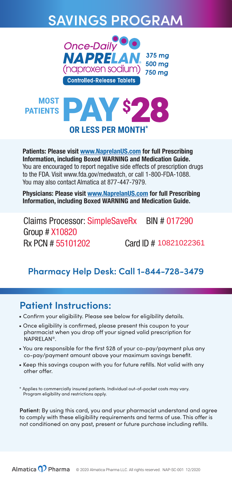Patients: Please visit www.NaprelanUS.com for full Prescribing Information, including Boxed WARNING and Medication Guide. You are encouraged to report negative side effects of prescription drugs to the FDA. Visit www.fda.gov/medwatch, or call 1-800-FDA-1088. You may also contact Almatica at 877-447-7979.

- Confirm your eligibility. Please see below for eligibility details.
- Once eligibility is confirmed, please present this coupon to your pharmacist when you drop off your signed valid prescription for NAPRELAN®.
- You are responsible for the first \$28 of your co-pay/payment plus any co-pay/payment amount above your maximum savings benefit.
- Keep this savings coupon with you for future refills. Not valid with any other offer.

Physicians: Please visit www.NaprelanUS.com for full Prescribing Information, including Boxed WARNING and Medication Guide.

# **SAVINGS PROGRAM**



### **Patient Instructions:**

\* Applies to commercially insured patients. Individual out-of-pocket costs may vary. Program eligibility and restrictions apply.

**Patient:** By using this card, you and your pharmacist understand and agree to comply with these eligibility requirements and terms of use. This offer is not conditioned on any past, present or future purchase including refills.



**Pharmacy Help Desk: Call 1-844-728-3479**



Claims Processor: SimpleSaveRx BIN # 017290 Group # X10820 Rx PCN # 55101202 Card ID # 10821022361